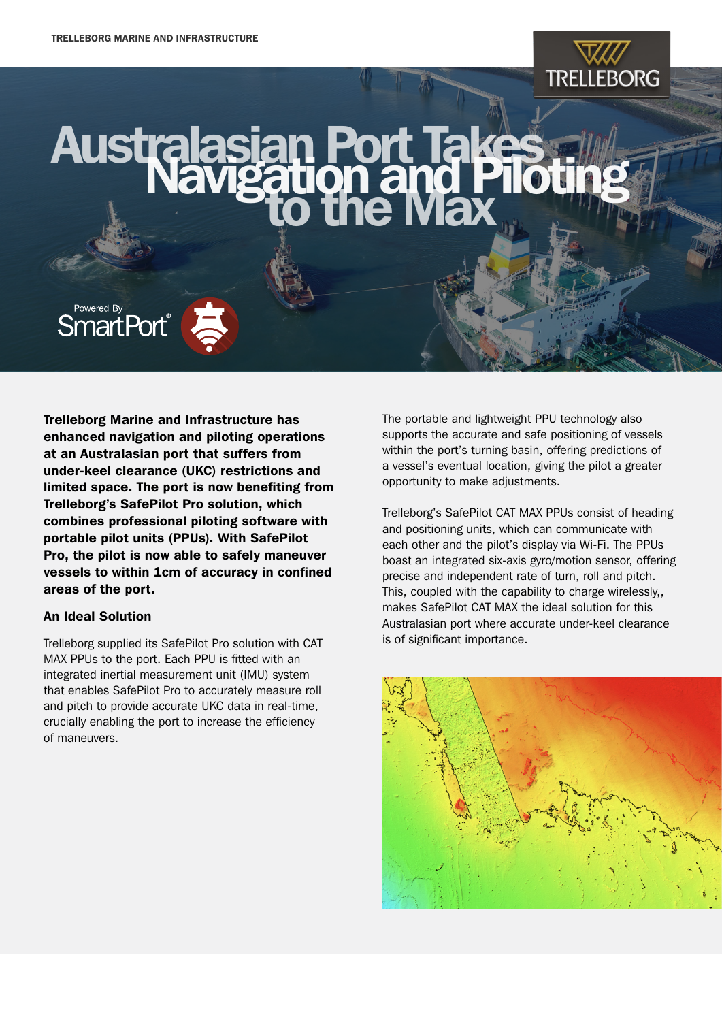## **TRELLEBORG**

### **Australas** an Por<br>auon a



Trelleborg Marine and Infrastructure has enhanced navigation and piloting operations at an Australasian port that suffers from under-keel clearance (UKC) restrictions and limited space. The port is now benefiting from Trelleborg's SafePilot Pro solution, which combines professional piloting software with portable pilot units (PPUs). With SafePilot Pro, the pilot is now able to safely maneuver vessels to within 1cm of accuracy in confined areas of the port.

#### An Ideal Solution

Trelleborg supplied its SafePilot Pro solution with CAT MAX PPUs to the port. Each PPU is fitted with an integrated inertial measurement unit (IMU) system that enables SafePilot Pro to accurately measure roll and pitch to provide accurate UKC data in real-time, crucially enabling the port to increase the efficiency of maneuvers.

The portable and lightweight PPU technology also supports the accurate and safe positioning of vessels within the port's turning basin, offering predictions of a vessel's eventual location, giving the pilot a greater opportunity to make adjustments.

Trelleborg's SafePilot CAT MAX PPUs consist of heading and positioning units, which can communicate with each other and the pilot's display via Wi-Fi. The PPUs boast an integrated six-axis gyro/motion sensor, offering precise and independent rate of turn, roll and pitch. This, coupled with the capability to charge wirelessly,, makes SafePilot CAT MAX the ideal solution for this Australasian port where accurate under-keel clearance is of significant importance.